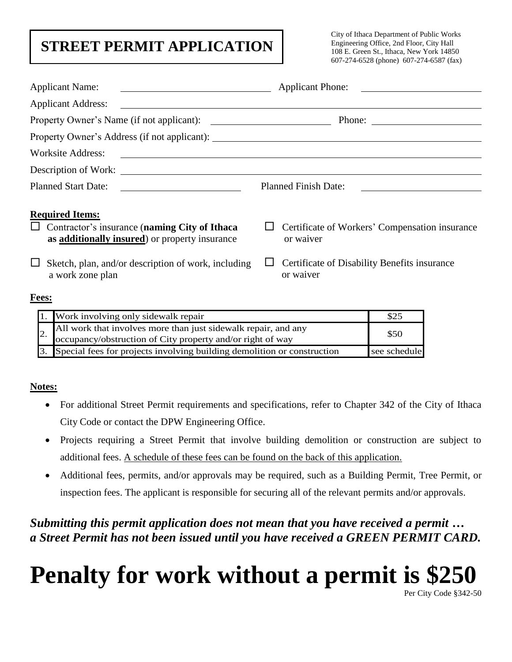# **STREET PERMIT APPLICATION**

City of Ithaca Department of Public Works Engineering Office, 2nd Floor, City Hall 108 E. Green St., Ithaca, New York 14850 607-274-6528 (phone) 607-274-6587 (fax)

| <b>Applicant Name:</b><br><u> The Communication of the Communication of the Communication of the Communication of the Communication of</u>                                                                                           | Applicant Phone:                                            |  |  |
|--------------------------------------------------------------------------------------------------------------------------------------------------------------------------------------------------------------------------------------|-------------------------------------------------------------|--|--|
| Applicant Address: <u>Quarterial and the set of the set of the set of the set of the set of the set of the set of the set of the set of the set of the set of the set of the set of the set of the set of the set of the set of </u> |                                                             |  |  |
|                                                                                                                                                                                                                                      | Phone: $\qquad \qquad$                                      |  |  |
|                                                                                                                                                                                                                                      |                                                             |  |  |
| Worksite Address:<br><u> 1980 - Antonio Alemania, prima postala de la contrada de la contrada de la contrada de la contrada de la con</u>                                                                                            |                                                             |  |  |
| Description of Work:                                                                                                                                                                                                                 |                                                             |  |  |
|                                                                                                                                                                                                                                      | <b>Planned Finish Date:</b>                                 |  |  |
| <b>Required Items:</b><br>$\Box$ Contractor's insurance (naming City of Ithaca<br>as additionally insured) or property insurance                                                                                                     | Certificate of Workers' Compensation insurance<br>or waiver |  |  |
| Sketch, plan, and/or description of work, including<br>ப<br>a work zone plan                                                                                                                                                         | Certificate of Disability Benefits insurance<br>or waiver   |  |  |

### **Fees:**

| 1. Work involving only sidewalk repair                                                                                          |              |
|---------------------------------------------------------------------------------------------------------------------------------|--------------|
| 2. All work that involves more than just sidewalk repair, and any<br>occupancy/obstruction of City property and/or right of way | \$50         |
| 3. Special fees for projects involving building demolition or construction                                                      | see schedule |

### **Notes:**

- For additional Street Permit requirements and specifications, refer to Chapter 342 of the City of Ithaca City Code or contact the DPW Engineering Office.
- Projects requiring a Street Permit that involve building demolition or construction are subject to additional fees. A schedule of these fees can be found on the back of this application.
- Additional fees, permits, and/or approvals may be required, such as a Building Permit, Tree Permit, or inspection fees. The applicant is responsible for securing all of the relevant permits and/or approvals.

*Submitting this permit application does not mean that you have received a permit … a Street Permit has not been issued until you have received a GREEN PERMIT CARD.* 

# **Penalty for work without a permit is \$250**

Per City Code §342-50